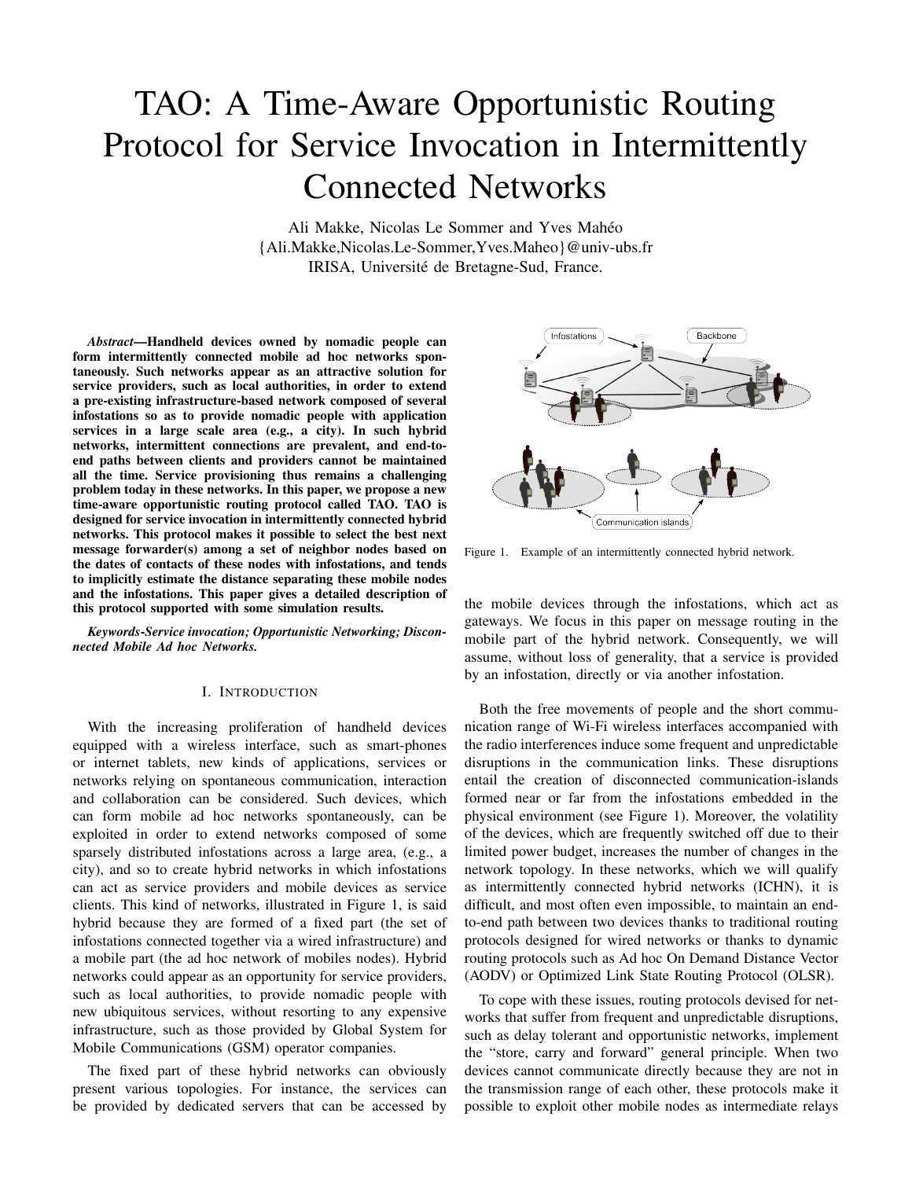# TAO: A Time-Aware Opportunistic Routing Protocol for Service Invocation in Intermittently Connected Networks

Ali Makke, Nicolas Le Sommer and Yves Mahéo {Ali.Makke,Nicolas.Le-Sommer,Yves.Maheo}@univ-ubs.fr IRISA, Université de Bretagne-Sud, France.

*Abstract*—Handheld devices owned by nomadic people can form intermittently connected mobile ad hoc networks spontaneously. Such networks appear as an attractive solution for service providers, such as local authorities, in order to extend a pre-existing infrastructure-based network composed of several infostations so as to provide nomadic people with application services in a large scale area (e.g., a city). In such hybrid networks, intermittent connections are prevalent, and end-toend paths between clients and providers cannot be maintained all the time. Service provisioning thus remains a challenging problem today in these networks. In this paper, we propose a new time-aware opportunistic routing protocol called TAO. TAO is designed for service invocation in intermittently connected hybrid networks. This protocol makes it possible to select the best next message forwarder(s) among a set of neighbor nodes based on the dates of contacts of these nodes with infostations, and tends to implicitly estimate the distance separating these mobile nodes and the infostations. This paper gives a detailed description of this protocol supported with some simulation results.

*Keywords*-*Service invocation; Opportunistic Networking; Disconnected Mobile Ad hoc Networks.*

# I. INTRODUCTION

With the increasing proliferation of handheld devices equipped with a wireless interface, such as smart-phones or internet tablets, new kinds of applications, services or networks relying on spontaneous communication, interaction and collaboration can be considered. Such devices, which can form mobile ad hoc networks spontaneously, can be exploited in order to extend networks composed of some sparsely distributed infostations across a large area, (e.g., a city), and so to create hybrid networks in which infostations can act as service providers and mobile devices as service clients. This kind of networks, illustrated in Figure [1,](#page-0-0) is said hybrid because they are formed of a fixed part (the set of infostations connected together via a wired infrastructure) and a mobile part (the ad hoc network of mobiles nodes). Hybrid networks could appear as an opportunity for service providers, such as local authorities, to provide nomadic people with new ubiquitous services, without resorting to any expensive infrastructure, such as those provided by Global System for Mobile Communications (GSM) operator companies.

The fixed part of these hybrid networks can obviously present various topologies. For instance, the services can be provided by dedicated servers that can be accessed by



<span id="page-0-0"></span>Figure 1. Example of an intermittently connected hybrid network.

the mobile devices through the infostations, which act as gateways. We focus in this paper on message routing in the mobile part of the hybrid network. Consequently, we will assume, without loss of generality, that a service is provided by an infostation, directly or via another infostation.

Both the free movements of people and the short communication range of Wi-Fi wireless interfaces accompanied with the radio interferences induce some frequent and unpredictable disruptions in the communication links. These disruptions entail the creation of disconnected communication-islands formed near or far from the infostations embedded in the physical environment (see Figure [1\)](#page-0-0). Moreover, the volatility of the devices, which are frequently switched off due to their limited power budget, increases the number of changes in the network topology. In these networks, which we will qualify as intermittently connected hybrid networks (ICHN), it is difficult, and most often even impossible, to maintain an endto-end path between two devices thanks to traditional routing protocols designed for wired networks or thanks to dynamic routing protocols such as Ad hoc On Demand Distance Vector (AODV) or Optimized Link State Routing Protocol (OLSR).

To cope with these issues, routing protocols devised for networks that suffer from frequent and unpredictable disruptions, such as delay tolerant and opportunistic networks, implement the "store, carry and forward" general principle. When two devices cannot communicate directly because they are not in the transmission range of each other, these protocols make it possible to exploit other mobile nodes as intermediate relays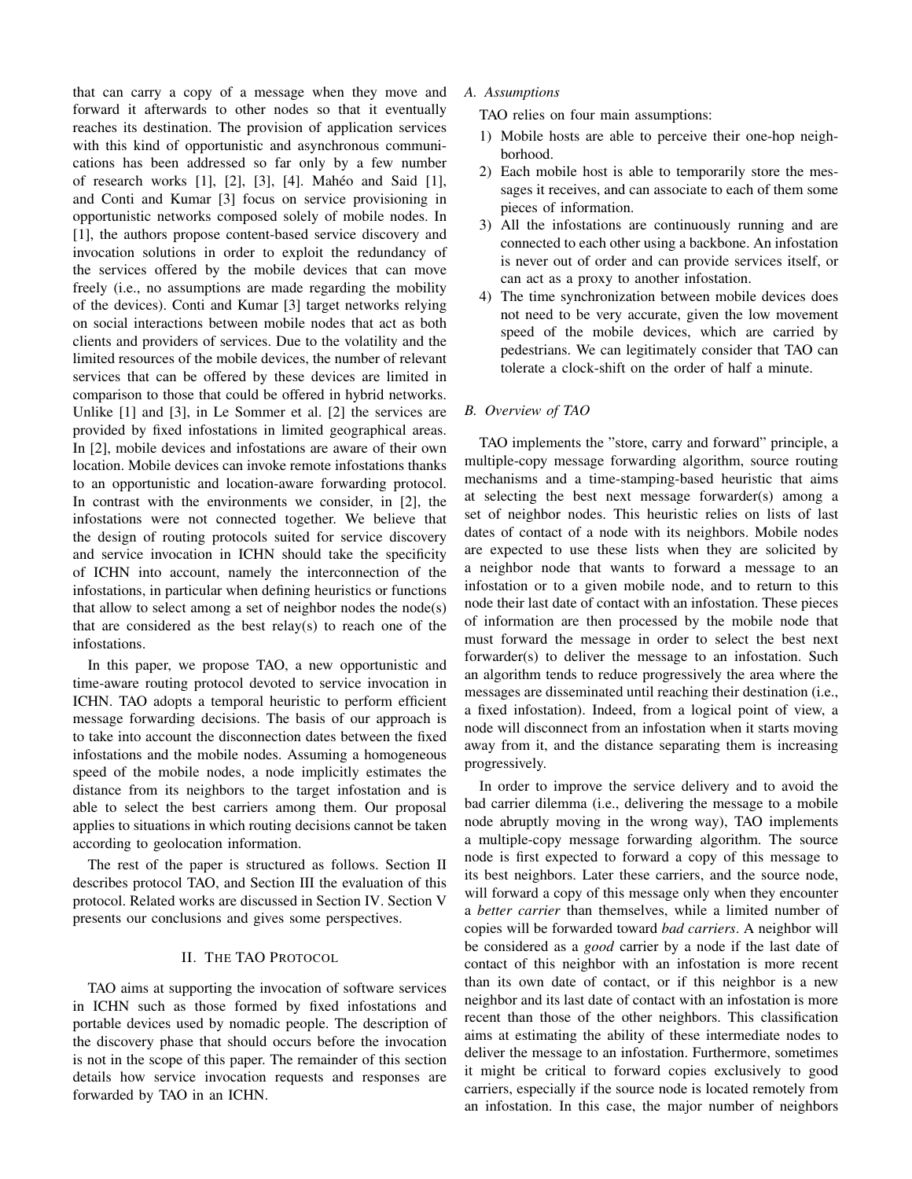that can carry a copy of a message when they move and forward it afterwards to other nodes so that it eventually reaches its destination. The provision of application services with this kind of opportunistic and asynchronous communications has been addressed so far only by a few number of research works [\[1\]](#page-5-0), [\[2\]](#page-5-1), [\[3\]](#page-5-2), [\[4\]](#page-5-3). Mahéo and Said [\[1\]](#page-5-0), and Conti and Kumar [\[3\]](#page-5-2) focus on service provisioning in opportunistic networks composed solely of mobile nodes. In [\[1\]](#page-5-0), the authors propose content-based service discovery and invocation solutions in order to exploit the redundancy of the services offered by the mobile devices that can move freely (i.e., no assumptions are made regarding the mobility of the devices). Conti and Kumar [\[3\]](#page-5-2) target networks relying on social interactions between mobile nodes that act as both clients and providers of services. Due to the volatility and the limited resources of the mobile devices, the number of relevant services that can be offered by these devices are limited in comparison to those that could be offered in hybrid networks. Unlike [\[1\]](#page-5-0) and [\[3\]](#page-5-2), in Le Sommer et al. [\[2\]](#page-5-1) the services are provided by fixed infostations in limited geographical areas. In [\[2\]](#page-5-1), mobile devices and infostations are aware of their own location. Mobile devices can invoke remote infostations thanks to an opportunistic and location-aware forwarding protocol. In contrast with the environments we consider, in [\[2\]](#page-5-1), the infostations were not connected together. We believe that the design of routing protocols suited for service discovery and service invocation in ICHN should take the specificity of ICHN into account, namely the interconnection of the infostations, in particular when defining heuristics or functions that allow to select among a set of neighbor nodes the node(s) that are considered as the best relay(s) to reach one of the infostations.

In this paper, we propose TAO, a new opportunistic and time-aware routing protocol devoted to service invocation in ICHN. TAO adopts a temporal heuristic to perform efficient message forwarding decisions. The basis of our approach is to take into account the disconnection dates between the fixed infostations and the mobile nodes. Assuming a homogeneous speed of the mobile nodes, a node implicitly estimates the distance from its neighbors to the target infostation and is able to select the best carriers among them. Our proposal applies to situations in which routing decisions cannot be taken according to geolocation information.

The rest of the paper is structured as follows. Section [II](#page-1-0) describes protocol TAO, and Section [III](#page-3-0) the evaluation of this protocol. Related works are discussed in Section [IV.](#page-5-4) Section [V](#page-5-5) presents our conclusions and gives some perspectives.

# II. THE TAO PROTOCOL

<span id="page-1-0"></span>TAO aims at supporting the invocation of software services in ICHN such as those formed by fixed infostations and portable devices used by nomadic people. The description of the discovery phase that should occurs before the invocation is not in the scope of this paper. The remainder of this section details how service invocation requests and responses are forwarded by TAO in an ICHN.

*A. Assumptions*

TAO relies on four main assumptions:

- 1) Mobile hosts are able to perceive their one-hop neighborhood.
- 2) Each mobile host is able to temporarily store the messages it receives, and can associate to each of them some pieces of information.
- 3) All the infostations are continuously running and are connected to each other using a backbone. An infostation is never out of order and can provide services itself, or can act as a proxy to another infostation.
- 4) The time synchronization between mobile devices does not need to be very accurate, given the low movement speed of the mobile devices, which are carried by pedestrians. We can legitimately consider that TAO can tolerate a clock-shift on the order of half a minute.

# *B. Overview of TAO*

TAO implements the "store, carry and forward" principle, a multiple-copy message forwarding algorithm, source routing mechanisms and a time-stamping-based heuristic that aims at selecting the best next message forwarder(s) among a set of neighbor nodes. This heuristic relies on lists of last dates of contact of a node with its neighbors. Mobile nodes are expected to use these lists when they are solicited by a neighbor node that wants to forward a message to an infostation or to a given mobile node, and to return to this node their last date of contact with an infostation. These pieces of information are then processed by the mobile node that must forward the message in order to select the best next forwarder(s) to deliver the message to an infostation. Such an algorithm tends to reduce progressively the area where the messages are disseminated until reaching their destination (i.e., a fixed infostation). Indeed, from a logical point of view, a node will disconnect from an infostation when it starts moving away from it, and the distance separating them is increasing progressively.

In order to improve the service delivery and to avoid the bad carrier dilemma (i.e., delivering the message to a mobile node abruptly moving in the wrong way), TAO implements a multiple-copy message forwarding algorithm. The source node is first expected to forward a copy of this message to its best neighbors. Later these carriers, and the source node, will forward a copy of this message only when they encounter a *better carrier* than themselves, while a limited number of copies will be forwarded toward *bad carriers*. A neighbor will be considered as a *good* carrier by a node if the last date of contact of this neighbor with an infostation is more recent than its own date of contact, or if this neighbor is a new neighbor and its last date of contact with an infostation is more recent than those of the other neighbors. This classification aims at estimating the ability of these intermediate nodes to deliver the message to an infostation. Furthermore, sometimes it might be critical to forward copies exclusively to good carriers, especially if the source node is located remotely from an infostation. In this case, the major number of neighbors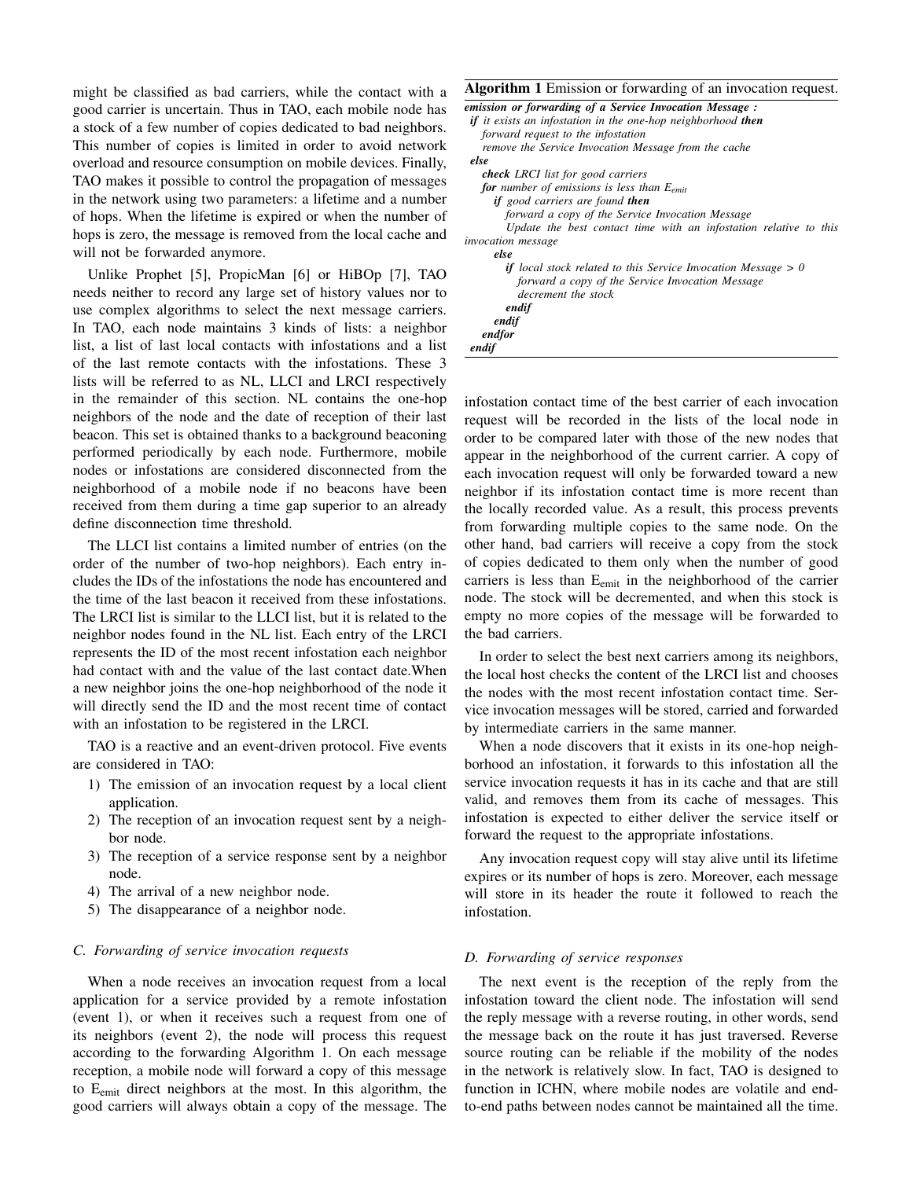might be classified as bad carriers, while the contact with a good carrier is uncertain. Thus in TAO, each mobile node has a stock of a few number of copies dedicated to bad neighbors. This number of copies is limited in order to avoid network overload and resource consumption on mobile devices. Finally, TAO makes it possible to control the propagation of messages in the network using two parameters: a lifetime and a number of hops. When the lifetime is expired or when the number of hops is zero, the message is removed from the local cache and will not be forwarded anymore.

Unlike Prophet [\[5\]](#page-5-6), PropicMan [\[6\]](#page-5-7) or HiBOp [\[7\]](#page-5-8), TAO needs neither to record any large set of history values nor to use complex algorithms to select the next message carriers. In TAO, each node maintains 3 kinds of lists: a neighbor list, a list of last local contacts with infostations and a list of the last remote contacts with the infostations. These 3 lists will be referred to as NL, LLCI and LRCI respectively in the remainder of this section. NL contains the one-hop neighbors of the node and the date of reception of their last beacon. This set is obtained thanks to a background beaconing performed periodically by each node. Furthermore, mobile nodes or infostations are considered disconnected from the neighborhood of a mobile node if no beacons have been received from them during a time gap superior to an already define disconnection time threshold.

The LLCI list contains a limited number of entries (on the order of the number of two-hop neighbors). Each entry includes the IDs of the infostations the node has encountered and the time of the last beacon it received from these infostations. The LRCI list is similar to the LLCI list, but it is related to the neighbor nodes found in the NL list. Each entry of the LRCI represents the ID of the most recent infostation each neighbor had contact with and the value of the last contact date.When a new neighbor joins the one-hop neighborhood of the node it will directly send the ID and the most recent time of contact with an infostation to be registered in the LRCI.

TAO is a reactive and an event-driven protocol. Five events are considered in TAO:

- 1) The emission of an invocation request by a local client application.
- 2) The reception of an invocation request sent by a neighbor node.
- 3) The reception of a service response sent by a neighbor node.
- 4) The arrival of a new neighbor node.
- 5) The disappearance of a neighbor node.

# *C. Forwarding of service invocation requests*

When a node receives an invocation request from a local application for a service provided by a remote infostation (event 1), or when it receives such a request from one of its neighbors (event 2), the node will process this request according to the forwarding Algorithm [1.](#page-2-0) On each message reception, a mobile node will forward a copy of this message to Eemit direct neighbors at the most. In this algorithm, the good carriers will always obtain a copy of the message. The

### <span id="page-2-0"></span>Algorithm 1 Emission or forwarding of an invocation request.

| emission or forwarding of a Service Invocation Message:                    |
|----------------------------------------------------------------------------|
| <b>if</b> it exists an infostation in the one-hop neighborhood <b>then</b> |
| forward request to the infostation                                         |
| remove the Service Invocation Message from the cache                       |
| else                                                                       |
| <b>check</b> LRCI list for good carriers                                   |
| <b>for</b> number of emissions is less than $E_{emit}$                     |
| if good carriers are found then                                            |
| forward a copy of the Service Invocation Message                           |
| Update the best contact time with an infostation relative to this          |
| <i>invocation</i> message                                                  |
| else                                                                       |
| <b>if</b> local stock related to this Service Invocation Message $> 0$     |
| forward a copy of the Service Invocation Message                           |
| decrement the stock                                                        |
| endif                                                                      |
| endif                                                                      |
| endfor                                                                     |
| endif                                                                      |

infostation contact time of the best carrier of each invocation request will be recorded in the lists of the local node in order to be compared later with those of the new nodes that appear in the neighborhood of the current carrier. A copy of each invocation request will only be forwarded toward a new neighbor if its infostation contact time is more recent than the locally recorded value. As a result, this process prevents from forwarding multiple copies to the same node. On the other hand, bad carriers will receive a copy from the stock of copies dedicated to them only when the number of good carriers is less than E<sub>emit</sub> in the neighborhood of the carrier node. The stock will be decremented, and when this stock is empty no more copies of the message will be forwarded to the bad carriers.

In order to select the best next carriers among its neighbors, the local host checks the content of the LRCI list and chooses the nodes with the most recent infostation contact time. Service invocation messages will be stored, carried and forwarded by intermediate carriers in the same manner.

When a node discovers that it exists in its one-hop neighborhood an infostation, it forwards to this infostation all the service invocation requests it has in its cache and that are still valid, and removes them from its cache of messages. This infostation is expected to either deliver the service itself or forward the request to the appropriate infostations.

Any invocation request copy will stay alive until its lifetime expires or its number of hops is zero. Moreover, each message will store in its header the route it followed to reach the infostation.

# *D. Forwarding of service responses*

The next event is the reception of the reply from the infostation toward the client node. The infostation will send the reply message with a reverse routing, in other words, send the message back on the route it has just traversed. Reverse source routing can be reliable if the mobility of the nodes in the network is relatively slow. In fact, TAO is designed to function in ICHN, where mobile nodes are volatile and endto-end paths between nodes cannot be maintained all the time.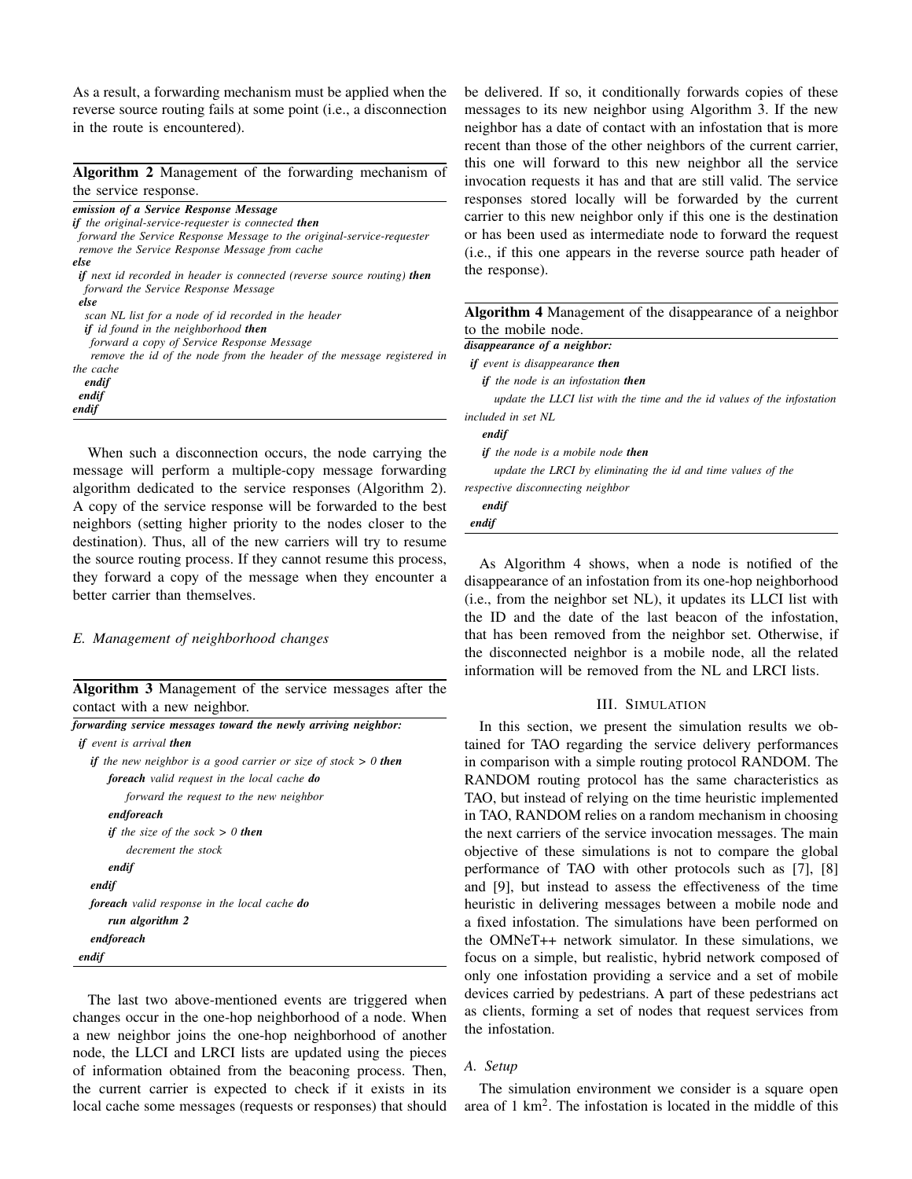As a result, a forwarding mechanism must be applied when the reverse source routing fails at some point (i.e., a disconnection in the route is encountered).

<span id="page-3-1"></span>Algorithm 2 Management of the forwarding mechanism of the service response.

| emission of a Service Response Message                                                                                   |  |
|--------------------------------------------------------------------------------------------------------------------------|--|
| if the original-service-requester is connected then                                                                      |  |
| forward the Service Response Message to the original-service-requester<br>remove the Service Response Message from cache |  |
| else                                                                                                                     |  |
| <b>if</b> next id recorded in header is connected (reverse source routing) then<br>forward the Service Response Message  |  |
| else                                                                                                                     |  |
| scan NL list for a node of id recorded in the header                                                                     |  |
| <b>if</b> id found in the neighborhood <b>then</b>                                                                       |  |
| forward a copy of Service Response Message                                                                               |  |
| remove the id of the node from the header of the message registered in                                                   |  |
| the cache                                                                                                                |  |
| endif                                                                                                                    |  |
| endif                                                                                                                    |  |
| endif                                                                                                                    |  |

When such a disconnection occurs, the node carrying the message will perform a multiple-copy message forwarding algorithm dedicated to the service responses (Algorithm [2\)](#page-3-1). A copy of the service response will be forwarded to the best neighbors (setting higher priority to the nodes closer to the destination). Thus, all of the new carriers will try to resume the source routing process. If they cannot resume this process, they forward a copy of the message when they encounter a better carrier than themselves.

*E. Management of neighborhood changes*

<span id="page-3-2"></span>Algorithm 3 Management of the service messages after the contact with a new neighbor.

| forwarding service messages toward the newly arriving neighbor:          |
|--------------------------------------------------------------------------|
| if event is arrival then                                                 |
| <b>if</b> the new neighbor is a good carrier or size of stock $> 0$ then |
| foreach valid request in the local cache do                              |
| forward the request to the new neighbor                                  |
| endforeach                                                               |
| if the size of the sock $> 0$ then                                       |
| decrement the stock                                                      |
| endif                                                                    |
| endif                                                                    |
| <b>foreach</b> valid response in the local cache <b>do</b>               |
| run algorithm 2                                                          |
| endforeach                                                               |
| endif                                                                    |

The last two above-mentioned events are triggered when changes occur in the one-hop neighborhood of a node. When a new neighbor joins the one-hop neighborhood of another node, the LLCI and LRCI lists are updated using the pieces of information obtained from the beaconing process. Then, the current carrier is expected to check if it exists in its local cache some messages (requests or responses) that should be delivered. If so, it conditionally forwards copies of these messages to its new neighbor using Algorithm [3.](#page-3-2) If the new neighbor has a date of contact with an infostation that is more recent than those of the other neighbors of the current carrier, this one will forward to this new neighbor all the service invocation requests it has and that are still valid. The service responses stored locally will be forwarded by the current carrier to this new neighbor only if this one is the destination or has been used as intermediate node to forward the request (i.e., if this one appears in the reverse source path header of the response).

<span id="page-3-3"></span>

As Algorithm [4](#page-3-3) shows, when a node is notified of the disappearance of an infostation from its one-hop neighborhood (i.e., from the neighbor set NL), it updates its LLCI list with the ID and the date of the last beacon of the infostation, that has been removed from the neighbor set. Otherwise, if the disconnected neighbor is a mobile node, all the related information will be removed from the NL and LRCI lists.

### III. SIMULATION

<span id="page-3-0"></span>In this section, we present the simulation results we obtained for TAO regarding the service delivery performances in comparison with a simple routing protocol RANDOM. The RANDOM routing protocol has the same characteristics as TAO, but instead of relying on the time heuristic implemented in TAO, RANDOM relies on a random mechanism in choosing the next carriers of the service invocation messages. The main objective of these simulations is not to compare the global performance of TAO with other protocols such as [\[7\]](#page-5-8), [\[8\]](#page-5-9) and [\[9\]](#page-5-10), but instead to assess the effectiveness of the time heuristic in delivering messages between a mobile node and a fixed infostation. The simulations have been performed on the OMNeT++ network simulator. In these simulations, we focus on a simple, but realistic, hybrid network composed of only one infostation providing a service and a set of mobile devices carried by pedestrians. A part of these pedestrians act as clients, forming a set of nodes that request services from the infostation.

# *A. Setup*

The simulation environment we consider is a square open area of  $1 \text{ km}^2$ . The infostation is located in the middle of this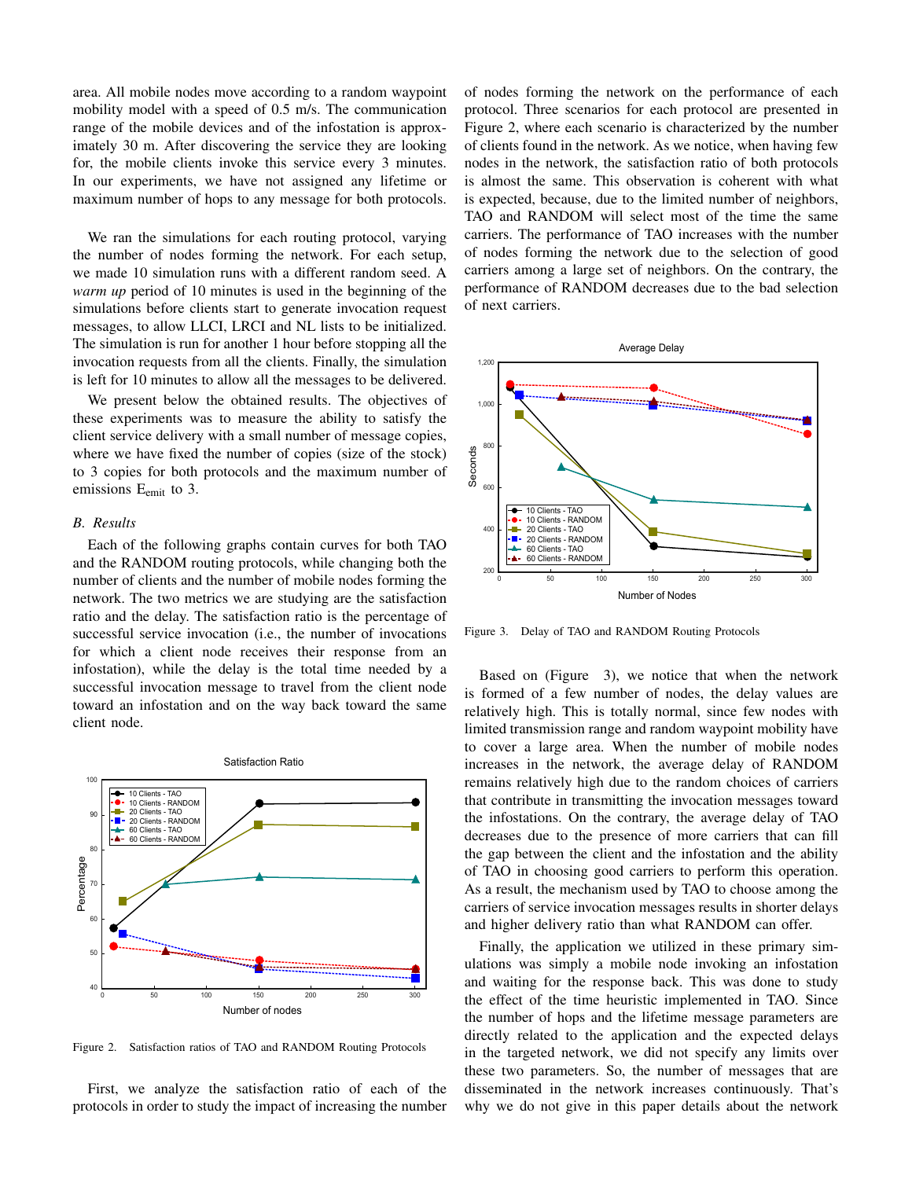area. All mobile nodes move according to a random waypoint mobility model with a speed of 0.5 m/s. The communication range of the mobile devices and of the infostation is approximately 30 m. After discovering the service they are looking for, the mobile clients invoke this service every 3 minutes. In our experiments, we have not assigned any lifetime or maximum number of hops to any message for both protocols.

We ran the simulations for each routing protocol, varying the number of nodes forming the network. For each setup, we made 10 simulation runs with a different random seed. A *warm up* period of 10 minutes is used in the beginning of the simulations before clients start to generate invocation request messages, to allow LLCI, LRCI and NL lists to be initialized. The simulation is run for another 1 hour before stopping all the invocation requests from all the clients. Finally, the simulation is left for 10 minutes to allow all the messages to be delivered.

We present below the obtained results. The objectives of these experiments was to measure the ability to satisfy the client service delivery with a small number of message copies, where we have fixed the number of copies (size of the stock) to 3 copies for both protocols and the maximum number of emissions  $E_{emit}$  to 3.

#### *B. Results*

Each of the following graphs contain curves for both TAO and the RANDOM routing protocols, while changing both the number of clients and the number of mobile nodes forming the network. The two metrics we are studying are the satisfaction ratio and the delay. The satisfaction ratio is the percentage of successful service invocation (i.e., the number of invocations for which a client node receives their response from an infostation), while the delay is the total time needed by a successful invocation message to travel from the client node toward an infostation and on the way back toward the same client node.



<span id="page-4-0"></span>Figure 2. Satisfaction ratios of TAO and RANDOM Routing Protocols

First, we analyze the satisfaction ratio of each of the protocols in order to study the impact of increasing the number of nodes forming the network on the performance of each protocol. Three scenarios for each protocol are presented in Figure [2,](#page-4-0) where each scenario is characterized by the number of clients found in the network. As we notice, when having few nodes in the network, the satisfaction ratio of both protocols is almost the same. This observation is coherent with what is expected, because, due to the limited number of neighbors, TAO and RANDOM will select most of the time the same carriers. The performance of TAO increases with the number of nodes forming the network due to the selection of good carriers among a large set of neighbors. On the contrary, the performance of RANDOM decreases due to the bad selection of next carriers.



<span id="page-4-1"></span>Figure 3. Delay of TAO and RANDOM Routing Protocols

Based on (Figure [3\)](#page-4-1), we notice that when the network is formed of a few number of nodes, the delay values are relatively high. This is totally normal, since few nodes with limited transmission range and random waypoint mobility have to cover a large area. When the number of mobile nodes increases in the network, the average delay of RANDOM remains relatively high due to the random choices of carriers that contribute in transmitting the invocation messages toward the infostations. On the contrary, the average delay of TAO decreases due to the presence of more carriers that can fill the gap between the client and the infostation and the ability of TAO in choosing good carriers to perform this operation. As a result, the mechanism used by TAO to choose among the carriers of service invocation messages results in shorter delays and higher delivery ratio than what RANDOM can offer.

Finally, the application we utilized in these primary simulations was simply a mobile node invoking an infostation and waiting for the response back. This was done to study the effect of the time heuristic implemented in TAO. Since the number of hops and the lifetime message parameters are directly related to the application and the expected delays in the targeted network, we did not specify any limits over these two parameters. So, the number of messages that are disseminated in the network increases continuously. That's why we do not give in this paper details about the network